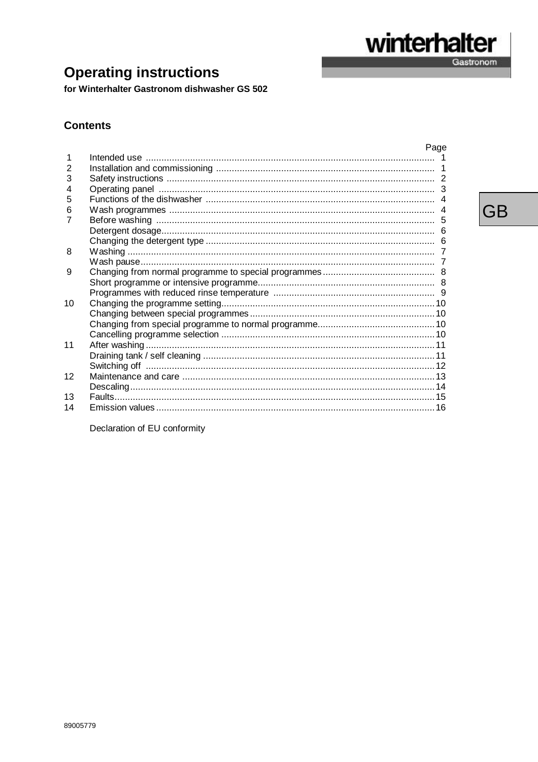for Winterhalter Gastronom dishwasher GS 502

## **Contents**

|    | Page |
|----|------|
|    |      |
| 2  |      |
| 3  |      |
| 4  |      |
| 5  |      |
| 6  |      |
|    |      |
|    |      |
|    |      |
| 8  |      |
|    |      |
| 9  |      |
|    |      |
|    |      |
| 10 |      |
|    |      |
|    |      |
|    |      |
| 11 |      |
|    |      |
|    |      |
| 12 |      |
|    |      |
| 13 |      |
| 14 |      |

Declaration of EU conformity

**GB** 

winterhalter

 $\overline{a}$ 

Gastronom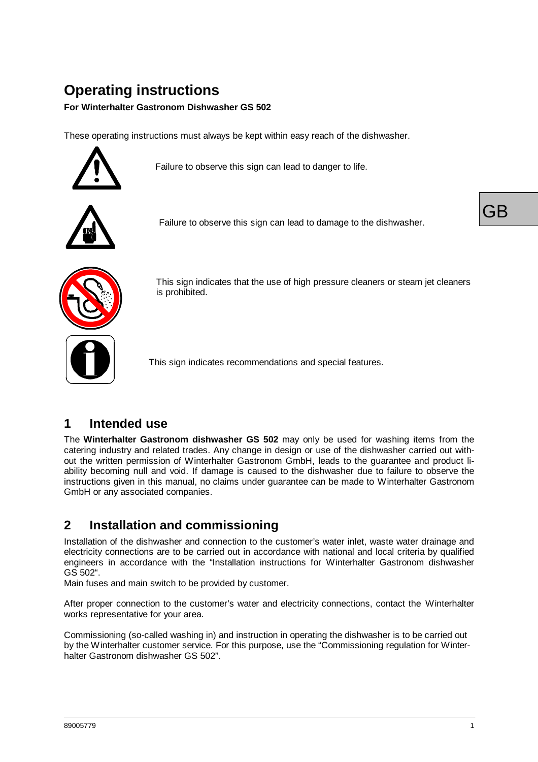# **Operating instructions**

#### **For Winterhalter Gastronom Dishwasher GS 502**

These operating instructions must always be kept within easy reach of the dishwasher.



Failure to observe this sign can lead to danger to life.



Failure to observe this sign can lead to damage to the dishwasher.





This sign indicates that the use of high pressure cleaners or steam jet cleaners is prohibited.

This sign indicates recommendations and special features.

## **1 Intended use**

The **Winterhalter Gastronom dishwasher GS 502** may only be used for washing items from the catering industry and related trades. Any change in design or use of the dishwasher carried out without the written permission of Winterhalter Gastronom GmbH, leads to the guarantee and product liability becoming null and void. If damage is caused to the dishwasher due to failure to observe the instructions given in this manual, no claims under guarantee can be made to Winterhalter Gastronom GmbH or any associated companies.

# **2 Installation and commissioning**

Installation of the dishwasher and connection to the customer's water inlet, waste water drainage and electricity connections are to be carried out in accordance with national and local criteria by qualified engineers in accordance with the "Installation instructions for Winterhalter Gastronom dishwasher GS 502".

Main fuses and main switch to be provided by customer.

After proper connection to the customer's water and electricity connections, contact the Winterhalter works representative for your area.

Commissioning (so-called washing in) and instruction in operating the dishwasher is to be carried out by the Winterhalter customer service. For this purpose, use the "Commissioning regulation for Winterhalter Gastronom dishwasher GS 502".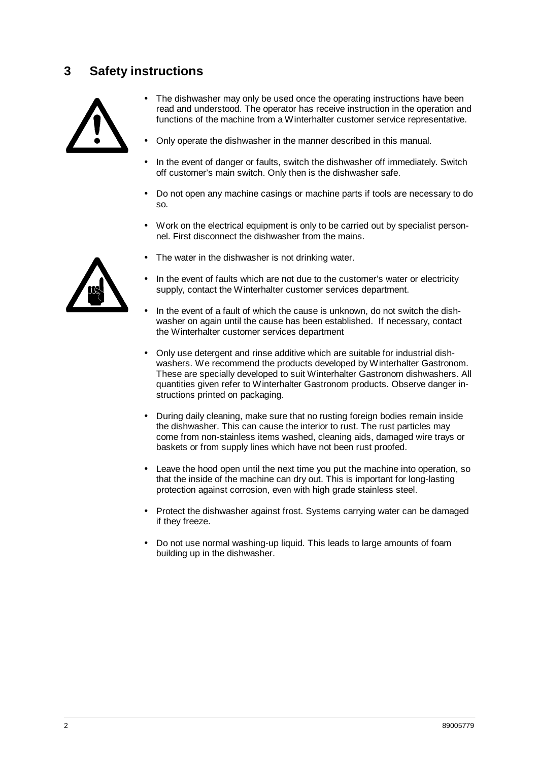# **3 Safety instructions**



- The dishwasher may only be used once the operating instructions have been read and understood. The operator has receive instruction in the operation and functions of the machine from a Winterhalter customer service representative.
- Only operate the dishwasher in the manner described in this manual.
- In the event of danger or faults, switch the dishwasher off immediately. Switch off customer's main switch. Only then is the dishwasher safe.
- Do not open any machine casings or machine parts if tools are necessary to do so.
- Work on the electrical equipment is only to be carried out by specialist personnel. First disconnect the dishwasher from the mains.
- 
- The water in the dishwasher is not drinking water.
- In the event of faults which are not due to the customer's water or electricity supply, contact the Winterhalter customer services department.
- In the event of a fault of which the cause is unknown, do not switch the dishwasher on again until the cause has been established. If necessary, contact the Winterhalter customer services department
- Only use detergent and rinse additive which are suitable for industrial dishwashers. We recommend the products developed by Winterhalter Gastronom. These are specially developed to suit Winterhalter Gastronom dishwashers. All quantities given refer to Winterhalter Gastronom products. Observe danger instructions printed on packaging.
- During daily cleaning, make sure that no rusting foreign bodies remain inside the dishwasher. This can cause the interior to rust. The rust particles may come from non-stainless items washed, cleaning aids, damaged wire trays or baskets or from supply lines which have not been rust proofed.
- Leave the hood open until the next time you put the machine into operation, so that the inside of the machine can dry out. This is important for long-lasting protection against corrosion, even with high grade stainless steel.
- Protect the dishwasher against frost. Systems carrying water can be damaged if they freeze.
- Do not use normal washing-up liquid. This leads to large amounts of foam building up in the dishwasher.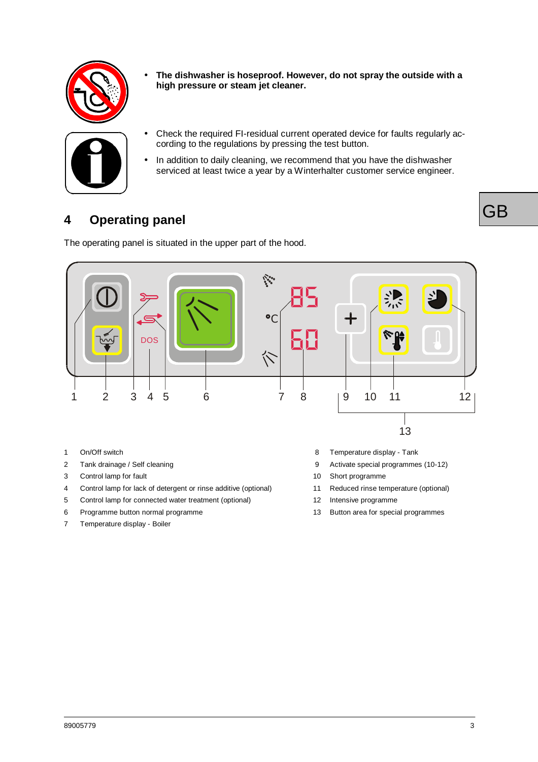

• **The dishwasher is hoseproof. However, do not spray the outside with a high pressure or steam jet cleaner.**



- Check the required FI-residual current operated device for faults regularly according to the regulations by pressing the test button.
- In addition to daily cleaning, we recommend that you have the dishwasher serviced at least twice a year by a Winterhalter customer service engineer.

# **4 Operating panel**

The operating panel is situated in the upper part of the hood.



- 
- 
- 3 Control lamp for fault 10 Short programme
- 4 Control lamp for lack of detergent or rinse additive (optional) 11 Reduced rinse temperature (optional)
- 5 Control lamp for connected water treatment (optional) 12 Intensive programme
- 6 Programme button normal programme 13 Button area for special programmes
- 7 Temperature display Boiler
- 1 On/Off switch 8 Temperature display Tank
- 2 Tank drainage / Self cleaning 9 Activate special programmes (10-12)
	-
	- -
	-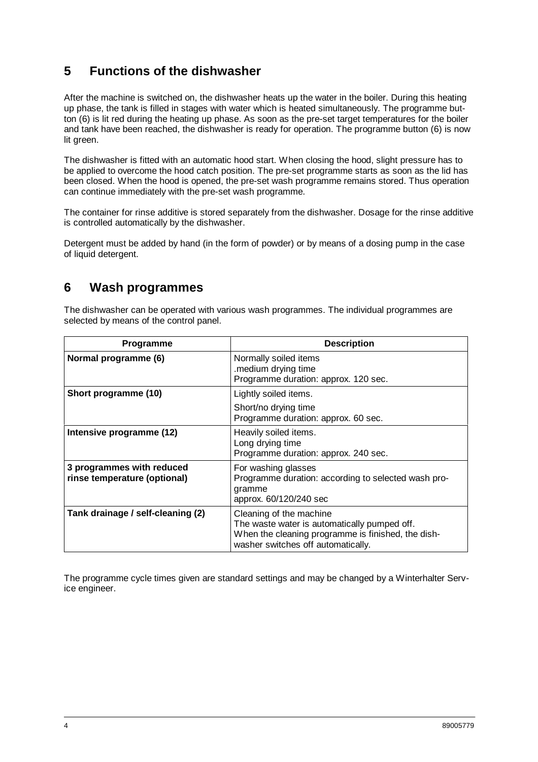# **5 Functions of the dishwasher**

After the machine is switched on, the dishwasher heats up the water in the boiler. During this heating up phase, the tank is filled in stages with water which is heated simultaneously. The programme button (6) is lit red during the heating up phase. As soon as the pre-set target temperatures for the boiler and tank have been reached, the dishwasher is ready for operation. The programme button (6) is now lit green.

The dishwasher is fitted with an automatic hood start. When closing the hood, slight pressure has to be applied to overcome the hood catch position. The pre-set programme starts as soon as the lid has been closed. When the hood is opened, the pre-set wash programme remains stored. Thus operation can continue immediately with the pre-set wash programme.

The container for rinse additive is stored separately from the dishwasher. Dosage for the rinse additive is controlled automatically by the dishwasher.

Detergent must be added by hand (in the form of powder) or by means of a dosing pump in the case of liquid detergent.

## **6 Wash programmes**

The dishwasher can be operated with various wash programmes. The individual programmes are selected by means of the control panel.

| <b>Programme</b>                                          | <b>Description</b>                                                                                                                                                  |
|-----------------------------------------------------------|---------------------------------------------------------------------------------------------------------------------------------------------------------------------|
| Normal programme (6)                                      | Normally soiled items<br>.medium drying time<br>Programme duration: approx. 120 sec.                                                                                |
| Short programme (10)                                      | Lightly soiled items.                                                                                                                                               |
|                                                           | Short/no drying time<br>Programme duration: approx. 60 sec.                                                                                                         |
| Intensive programme (12)                                  | Heavily soiled items.<br>Long drying time<br>Programme duration: approx. 240 sec.                                                                                   |
| 3 programmes with reduced<br>rinse temperature (optional) | For washing glasses<br>Programme duration: according to selected wash pro-<br>gramme<br>approx. 60/120/240 sec                                                      |
| Tank drainage / self-cleaning (2)                         | Cleaning of the machine<br>The waste water is automatically pumped off.<br>When the cleaning programme is finished, the dish-<br>washer switches off automatically. |

The programme cycle times given are standard settings and may be changed by a Winterhalter Service engineer.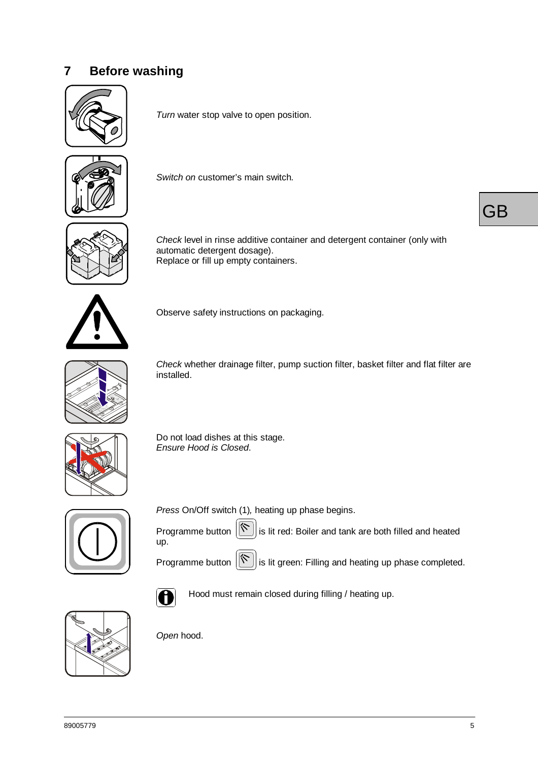# **7 Before washing**



*Turn* water stop valve to open position.



*Switch on* customer's main switch*.*



*Check* level in rinse additive container and detergent container (only with automatic detergent dosage). Replace or fill up empty containers.



Observe safety instructions on packaging.



*Check* whether drainage filter, pump suction filter, basket filter and flat filter are installed.



Do not load dishes at this stage. *Ensure Hood is Closed*.



*Press* On/Off switch (1)*,* heating up phase begins.





Programme button  $\left[\infty\right]$  is lit red: Boiler and tank are both filled and heated

Programme button  $\left|\bigotimes\right|$  is lit green: Filling and heating up phase completed.



Hood must remain closed during filling / heating up.



*Open* hood.

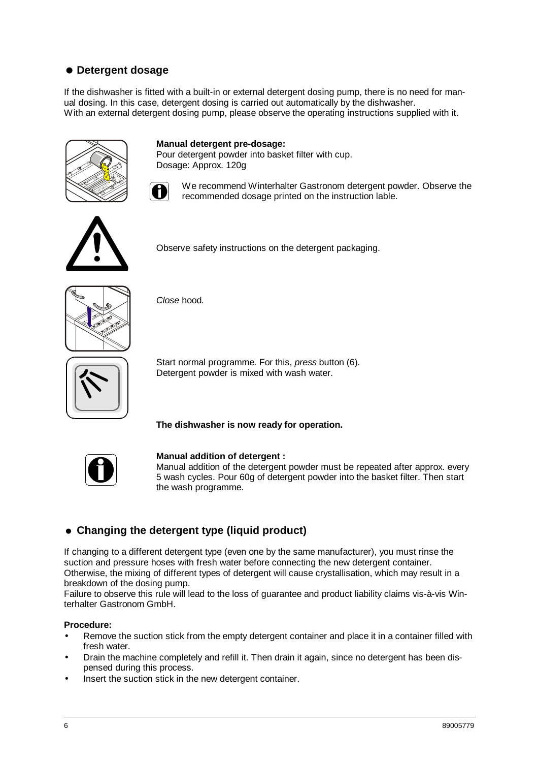## = **Detergent dosage**

If the dishwasher is fitted with a built-in or external detergent dosing pump, there is no need for manual dosing. In this case, detergent dosing is carried out automatically by the dishwasher. With an external detergent dosing pump, please observe the operating instructions supplied with it.



Pour detergent powder into basket filter with cup. Dosage: Approx. 120g

**Manual detergent pre-dosage:**

We recommend Winterhalter Gastronom detergent powder. Observe the recommended dosage printed on the instruction lable.



Observe safety instructions on the detergent packaging.



*Close* hood*.*



Start normal programme*.* For this, *press* button (6)*.* Detergent powder is mixed with wash water.

**The dishwasher is now ready for operation.**



#### **Manual addition of detergent :**

Manual addition of the detergent powder must be repeated after approx. every 5 wash cycles. Pour 60g of detergent powder into the basket filter. Then start the wash programme.

#### = **Changing the detergent type (liquid product)**

If changing to a different detergent type (even one by the same manufacturer), you must rinse the suction and pressure hoses with fresh water before connecting the new detergent container. Otherwise, the mixing of different types of detergent will cause crystallisation, which may result in a breakdown of the dosing pump.

Failure to observe this rule will lead to the loss of guarantee and product liability claims vis-à-vis Winterhalter Gastronom GmbH.

#### **Procedure:**

- Remove the suction stick from the empty detergent container and place it in a container filled with fresh water.
- Drain the machine completely and refill it. Then drain it again, since no detergent has been dispensed during this process.
- Insert the suction stick in the new detergent container.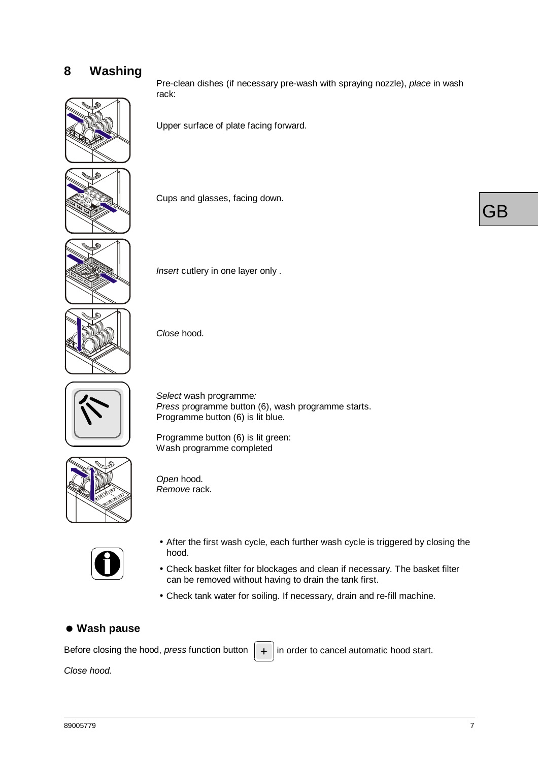# **8 Washing**



Pre-clean dishes (if necessary pre-wash with spraying nozzle), *place* in wash rack:

Upper surface of plate facing forward.



Cups and glasses, facing down.



*Insert* cutlery in one layer only .





*Select* wash programme*: Press* programme button (6), wash programme starts. Programme button (6) is lit blue.

Programme button (6) is lit green: Wash programme completed



*Open* hood*. Remove* rack*.*



- •After the first wash cycle, each further wash cycle is triggered by closing the hood.
- •Check basket filter for blockages and clean if necessary. The basket filter can be removed without having to drain the tank first.
- •Check tank water for soiling. If necessary, drain and re-fill machine.

#### = **Wash pause**

Before closing the hood, *press* function button  $\|\cdot\|$  in order to cancel automatic hood start.

*Close hood.*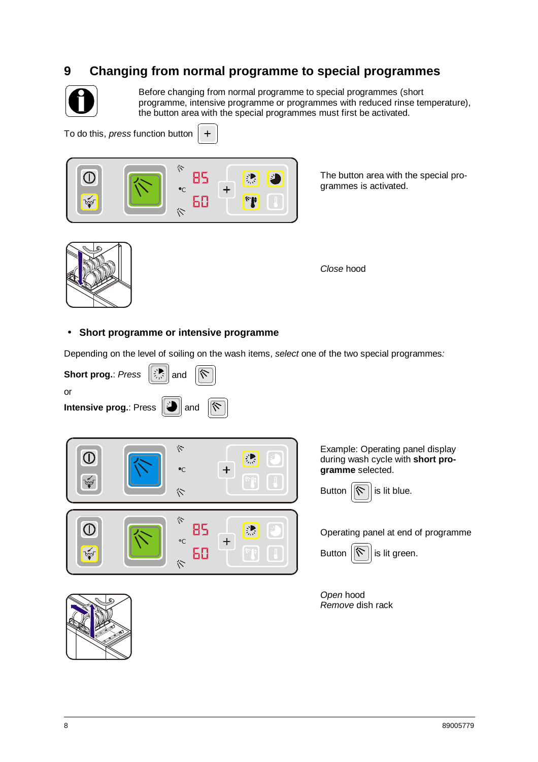# **9 Changing from normal programme to special programmes**



Before changing from normal programme to special programmes (short programme, intensive programme or programmes with reduced rinse temperature), the button area with the special programmes must first be activated.

To do this, *press* function button



 $\ddot{+}$ 

The button area with the special programmes is activated.



*Close* hood

#### • **Short programme or intensive programme**

Depending on the level of soiling on the wash items, *select* one of the two special programmes*:*





Example: Operating panel display during wash cycle with **short programme** selected.



Operating panel at end of programme



*Open* hood *Remove* dish rack

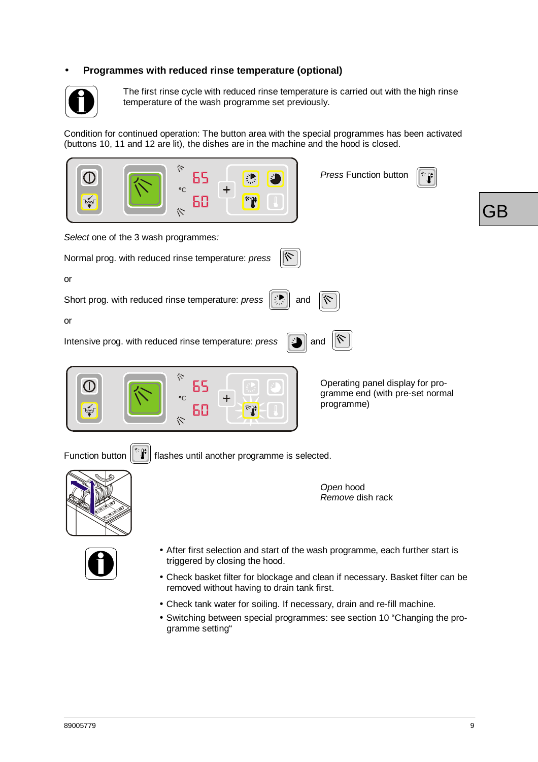#### • **Programmes with reduced rinse temperature (optional)**



The first rinse cycle with reduced rinse temperature is carried out with the high rinse temperature of the wash programme set previously.

Condition for continued operation: The button area with the special programmes has been activated (buttons 10, 11 and 12 are lit), the dishes are in the machine and the hood is closed.

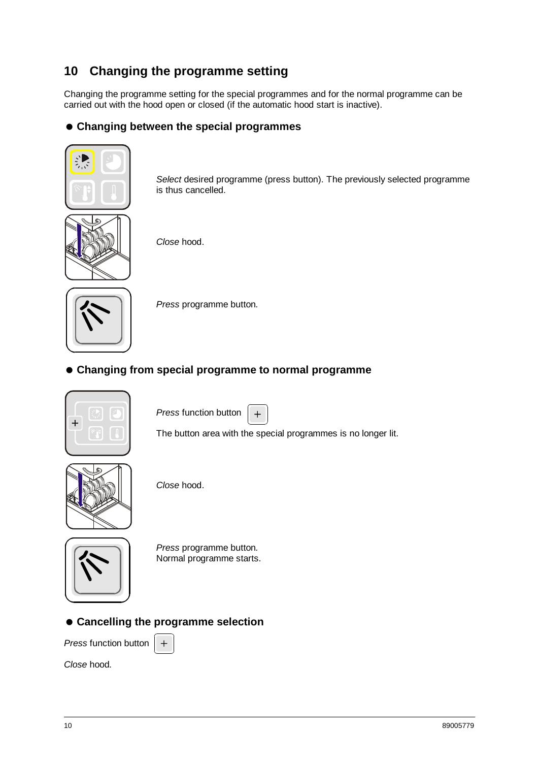# **10 Changing the programme setting**

Changing the programme setting for the special programmes and for the normal programme can be carried out with the hood open or closed (if the automatic hood start is inactive).

#### = **Changing between the special programmes**



*Select* desired programme (press button). The previously selected programme is thus cancelled.



*Close* hood.



*Press* programme button*.*

= **Changing from special programme to normal programme**



*Press* function button  $+$ 

The button area with the special programmes is no longer lit.



*Close* hood.



*Press* programme button*.* Normal programme starts.

#### = **Cancelling the programme selection**

 $+$ 

*Press* function button

*Close* hood*.*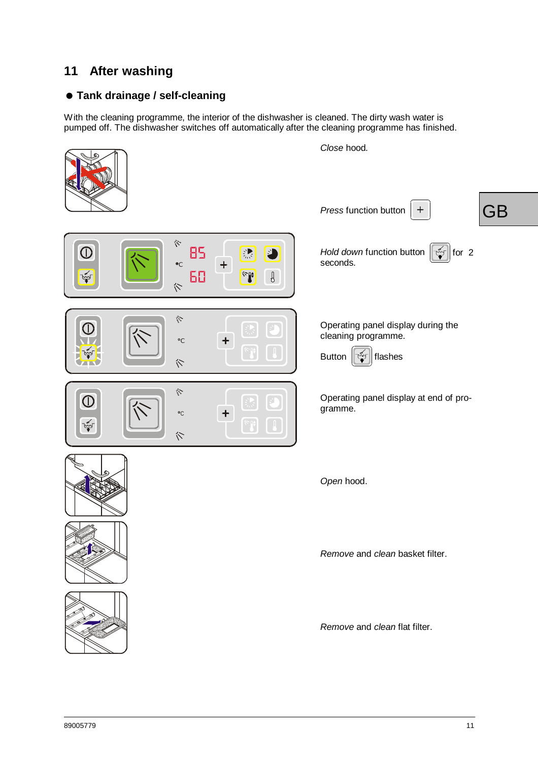# **11 After washing**

## = **Tank drainage / self-cleaning**

With the cleaning programme, the interior of the dishwasher is cleaned. The dirty wash water is pumped off. The dishwasher switches off automatically after the cleaning programme has finished.

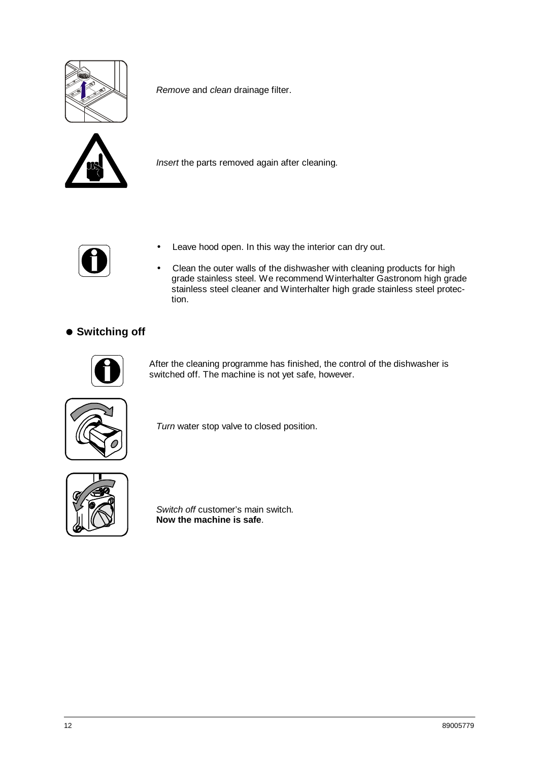

*Remove* and *clean* drainage filter.



*Insert* the parts removed again after cleaning*.*



- Leave hood open. In this way the interior can dry out.
- Clean the outer walls of the dishwasher with cleaning products for high grade stainless steel. We recommend Winterhalter Gastronom high grade stainless steel cleaner and Winterhalter high grade stainless steel protection.

#### $\bullet$  **Switching off**



After the cleaning programme has finished, the control of the dishwasher is switched off. The machine is not yet safe, however.



*Turn* water stop valve to closed position.



*Switch off* customer's main switch*.* **Now the machine is safe**.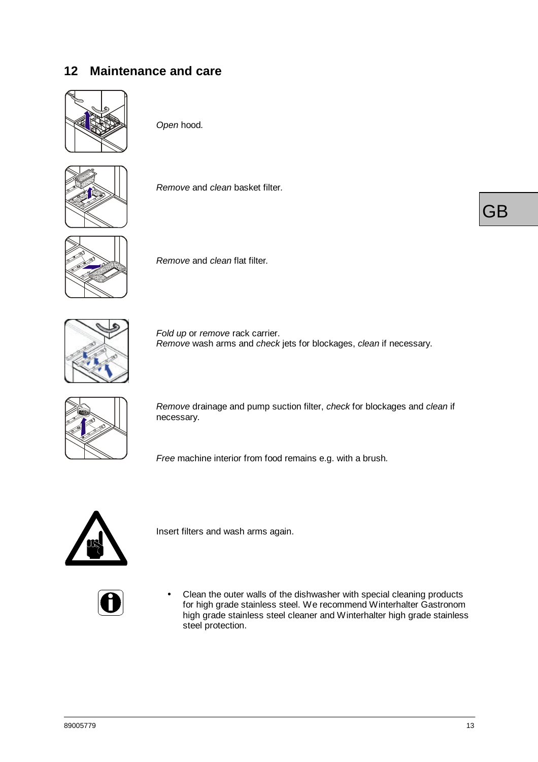# **12 Maintenance and care**



*Open* hood*.*



*Remove* and *clean* basket filter*.*



*Remove* and *clean* flat filter*.*



*Fold up* or *remove* rack carrier. *Remove* wash arms and *check* jets for blockages, *clean* if necessary.



*Remove* drainage and pump suction filter, *check* for blockages and *clean* if necessary.

*Free* machine interior from food remains e.g. with a brush*.*



Insert filters and wash arms again.

• Clean the outer walls of the dishwasher with special cleaning products for high grade stainless steel. We recommend Winterhalter Gastronom high grade stainless steel cleaner and Winterhalter high grade stainless steel protection.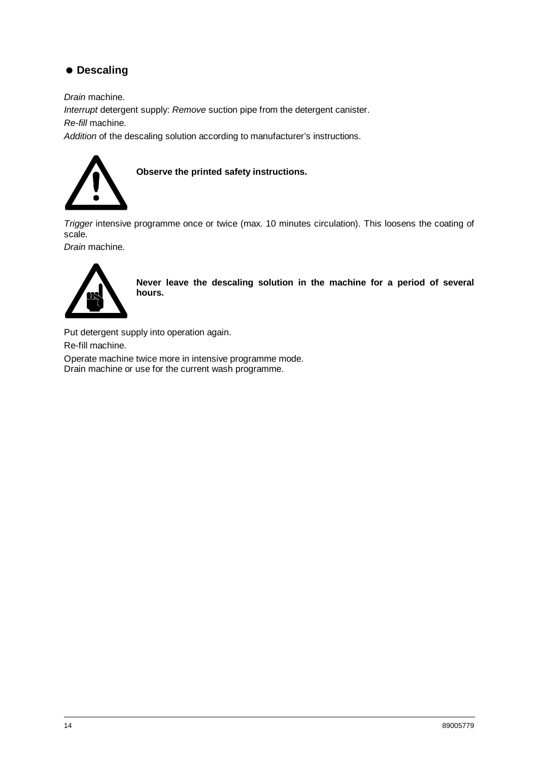## $\bullet$  **Descaling**

*Drain* machine.

*Interrupt* detergent supply: *Remove* suction pipe from the detergent canister.

*Re-fill* machine.

*Addition* of the descaling solution according to manufacturer's instructions.



**Observe the printed safety instructions.**

*Trigger* intensive programme once or twice (max. 10 minutes circulation). This loosens the coating of scale.

*Drain* machine.



**Never leave the descaling solution in the machine for a period of several hours.**

Put detergent supply into operation again. Re-fill machine. Operate machine twice more in intensive programme mode. Drain machine or use for the current wash programme.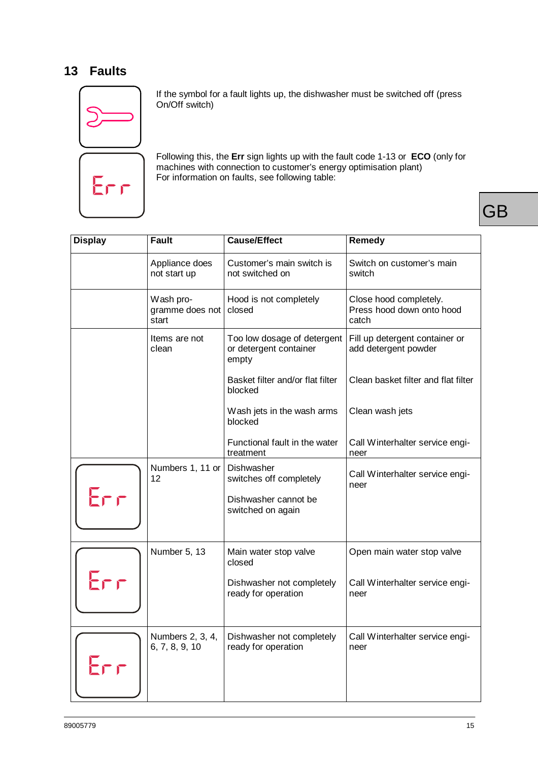# **13 Faults**



If the symbol for a fault lights up, the dishwasher must be switched off (press On/Off switch)

Following this, the **Err** sign lights up with the fault code 1-13 or **ECO** (only for machines with connection to customer's energy optimisation plant) For information on faults, see following table:

| <b>Display</b> | <b>Fault</b>                          | <b>Cause/Effect</b>                                            | <b>Remedy</b>                                                |
|----------------|---------------------------------------|----------------------------------------------------------------|--------------------------------------------------------------|
|                | Appliance does<br>not start up        | Customer's main switch is<br>not switched on                   | Switch on customer's main<br>switch                          |
|                | Wash pro-<br>gramme does not<br>start | Hood is not completely<br>closed                               | Close hood completely.<br>Press hood down onto hood<br>catch |
|                | Items are not<br>clean                | Too low dosage of detergent<br>or detergent container<br>empty | Fill up detergent container or<br>add detergent powder       |
|                |                                       | Basket filter and/or flat filter<br>blocked                    | Clean basket filter and flat filter                          |
|                |                                       | Wash jets in the wash arms<br>blocked                          | Clean wash jets                                              |
|                |                                       | Functional fault in the water<br>treatment                     | Call Winterhalter service engi-<br>neer                      |
|                | Numbers 1, 11 or<br>12                | Dishwasher<br>switches off completely                          | Call Winterhalter service engi-<br>neer                      |
| Err            |                                       | Dishwasher cannot be<br>switched on again                      |                                                              |
|                | Number 5, 13                          | Main water stop valve<br>closed                                | Open main water stop valve                                   |
| Err            |                                       | Dishwasher not completely<br>ready for operation               | Call Winterhalter service engi-<br>neer                      |
| Err            | Numbers 2, 3, 4,<br>6, 7, 8, 9, 10    | Dishwasher not completely<br>ready for operation               | Call Winterhalter service engi-<br>neer                      |
|                |                                       |                                                                |                                                              |